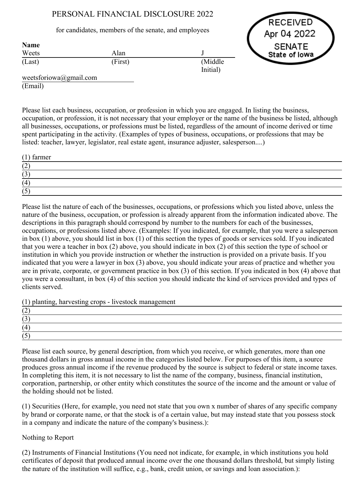# PERSONAL FINANCIAL DISCLOSURE 2022

## for candidates, members of the senate, and employees

RECEIVED Apr 04 2022 **SENATE** State of lowa

| <b>Name</b>       |                      |
|-------------------|----------------------|
| Weets<br>Alan     |                      |
| (First)<br>(Last) | (Middle)<br>Initial) |

weetsforiowa@gmail.com (Email)

Please list each business, occupation, or profession in which you are engaged. In listing the business, occupation, or profession, it is not necessary that your employer or the name of the business be listed, although all businesses, occupations, or professions must be listed, regardless of the amount of income derived or time spent participating in the activity. (Examples of types of business, occupations, or professions that may be listed: teacher, lawyer, legislator, real estate agent, insurance adjuster, salesperson....)

| $(1)$ farmer |  |
|--------------|--|
| $\sqrt{2}$   |  |
| $\sqrt{2}$   |  |
| (4           |  |
|              |  |

Please list the nature of each of the businesses, occupations, or professions which you listed above, unless the nature of the business, occupation, or profession is already apparent from the information indicated above. The descriptions in this paragraph should correspond by number to the numbers for each of the businesses, occupations, or professions listed above. (Examples: If you indicated, for example, that you were a salesperson in box (1) above, you should list in box (1) of this section the types of goods or services sold. If you indicated that you were a teacher in box (2) above, you should indicate in box (2) of this section the type of school or institution in which you provide instruction or whether the instruction is provided on a private basis. If you indicated that you were a lawyer in box (3) above, you should indicate your areas of practice and whether you are in private, corporate, or government practice in box (3) of this section. If you indicated in box (4) above that you were a consultant, in box (4) of this section you should indicate the kind of services provided and types of clients served.

 $(1)$  planting, harvesting crops - livestock management

| (2) |  |  |
|-----|--|--|
| 1 J |  |  |
| (4) |  |  |
| ັບ  |  |  |

Please list each source, by general description, from which you receive, or which generates, more than one thousand dollars in gross annual income in the categories listed below. For purposes of this item, a source produces gross annual income if the revenue produced by the source is subject to federal or state income taxes. In completing this item, it is not necessary to list the name of the company, business, financial institution, corporation, partnership, or other entity which constitutes the source of the income and the amount or value of the holding should not be listed.

(1) Securities (Here, for example, you need not state that you own x number of shares of any specific company by brand or corporate name, or that the stock is of a certain value, but may instead state that you possess stock in a company and indicate the nature of the company's business.):

# Nothing to Report

(2) Instruments of Financial Institutions (You need not indicate, for example, in which institutions you hold certificates of deposit that produced annual income over the one thousand dollars threshold, but simply listing the nature of the institution will suffice, e.g., bank, credit union, or savings and loan association.):